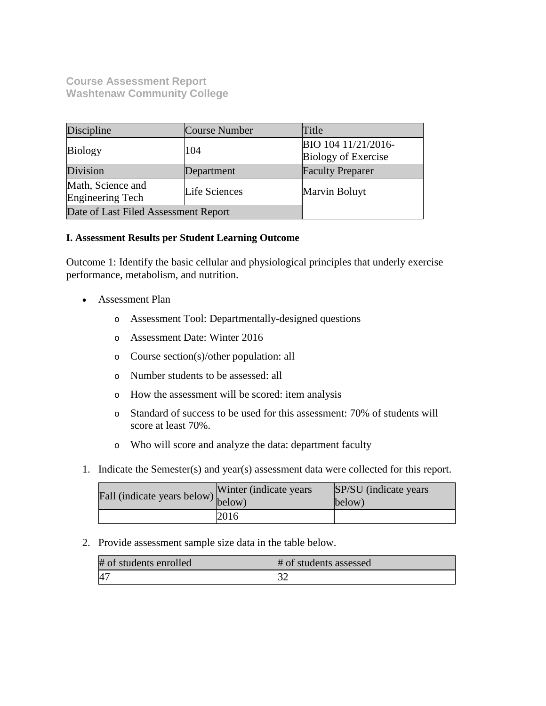**Course Assessment Report Washtenaw Community College**

| Discipline                                             | Course Number                                            | Title                   |
|--------------------------------------------------------|----------------------------------------------------------|-------------------------|
| <b>Biology</b>                                         | BIO 104 11/21/2016-<br>104<br><b>Biology of Exercise</b> |                         |
| Division                                               | Department                                               | <b>Faculty Preparer</b> |
| Math, Science and<br>Life Sciences<br>Engineering Tech |                                                          | Marvin Boluyt           |
| Date of Last Filed Assessment Report                   |                                                          |                         |

## **I. Assessment Results per Student Learning Outcome**

Outcome 1: Identify the basic cellular and physiological principles that underly exercise performance, metabolism, and nutrition.

- Assessment Plan
	- o Assessment Tool: Departmentally-designed questions
	- o Assessment Date: Winter 2016
	- o Course section(s)/other population: all
	- o Number students to be assessed: all
	- o How the assessment will be scored: item analysis
	- o Standard of success to be used for this assessment: 70% of students will score at least 70%.
	- o Who will score and analyze the data: department faculty
- 1. Indicate the Semester(s) and year(s) assessment data were collected for this report.

| Fall (indicate years below) $\begin{bmatrix} \text{w}\text{m} \\ \text{below} \end{bmatrix}$ | Winter (indicate years) | SP/SU (indicate years)<br>below) |
|----------------------------------------------------------------------------------------------|-------------------------|----------------------------------|
|                                                                                              | 2016                    |                                  |

2. Provide assessment sample size data in the table below.

| # of students enrolled | # of students assessed |
|------------------------|------------------------|
| $4-$                   |                        |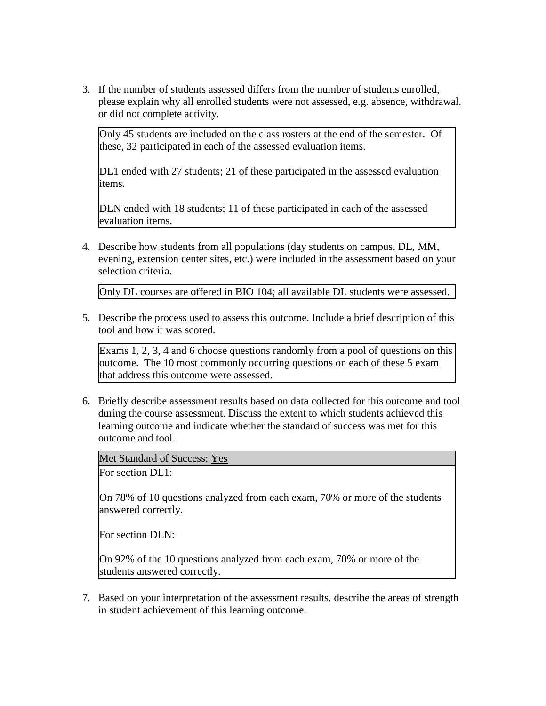3. If the number of students assessed differs from the number of students enrolled, please explain why all enrolled students were not assessed, e.g. absence, withdrawal, or did not complete activity.

Only 45 students are included on the class rosters at the end of the semester. Of these, 32 participated in each of the assessed evaluation items.

DL1 ended with 27 students; 21 of these participated in the assessed evaluation items.

DLN ended with 18 students; 11 of these participated in each of the assessed evaluation items.

4. Describe how students from all populations (day students on campus, DL, MM, evening, extension center sites, etc.) were included in the assessment based on your selection criteria.

Only DL courses are offered in BIO 104; all available DL students were assessed.

5. Describe the process used to assess this outcome. Include a brief description of this tool and how it was scored.

Exams 1, 2, 3, 4 and 6 choose questions randomly from a pool of questions on this outcome. The 10 most commonly occurring questions on each of these 5 exam that address this outcome were assessed.

6. Briefly describe assessment results based on data collected for this outcome and tool during the course assessment. Discuss the extent to which students achieved this learning outcome and indicate whether the standard of success was met for this outcome and tool.

Met Standard of Success: Yes

For section DL1:

On 78% of 10 questions analyzed from each exam, 70% or more of the students answered correctly.

For section DLN:

On 92% of the 10 questions analyzed from each exam, 70% or more of the students answered correctly.

7. Based on your interpretation of the assessment results, describe the areas of strength in student achievement of this learning outcome.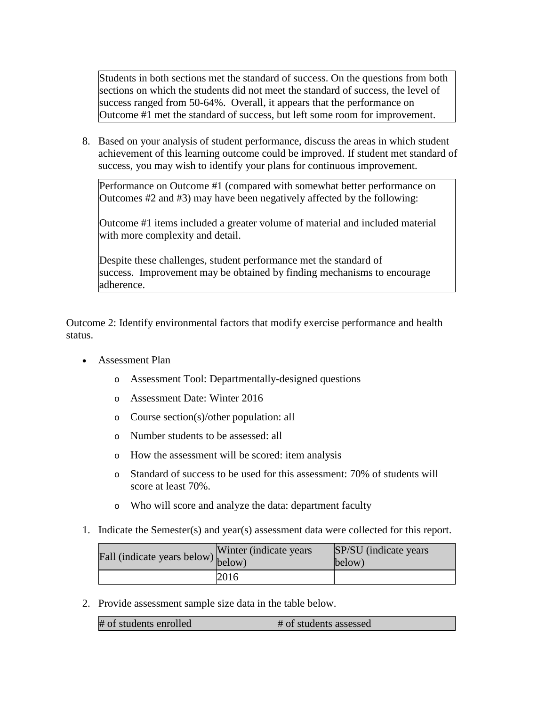Students in both sections met the standard of success. On the questions from both sections on which the students did not meet the standard of success, the level of success ranged from 50-64%. Overall, it appears that the performance on Outcome #1 met the standard of success, but left some room for improvement.

8. Based on your analysis of student performance, discuss the areas in which student achievement of this learning outcome could be improved. If student met standard of success, you may wish to identify your plans for continuous improvement.

Performance on Outcome #1 (compared with somewhat better performance on Outcomes #2 and #3) may have been negatively affected by the following:

Outcome #1 items included a greater volume of material and included material with more complexity and detail.

Despite these challenges, student performance met the standard of success. Improvement may be obtained by finding mechanisms to encourage adherence.

Outcome 2: Identify environmental factors that modify exercise performance and health status.

- Assessment Plan
	- o Assessment Tool: Departmentally-designed questions
	- o Assessment Date: Winter 2016
	- o Course section(s)/other population: all
	- o Number students to be assessed: all
	- o How the assessment will be scored: item analysis
	- o Standard of success to be used for this assessment: 70% of students will score at least 70%.
	- o Who will score and analyze the data: department faculty
- 1. Indicate the Semester(s) and year(s) assessment data were collected for this report.

| r'all (indicate years below) below) | Winter (indicate years) | SP/SU (indicate years)<br>below) |
|-------------------------------------|-------------------------|----------------------------------|
|                                     | 2016                    |                                  |

2. Provide assessment sample size data in the table below.

| # of students enrolled<br># of students assessed |  |
|--------------------------------------------------|--|
|--------------------------------------------------|--|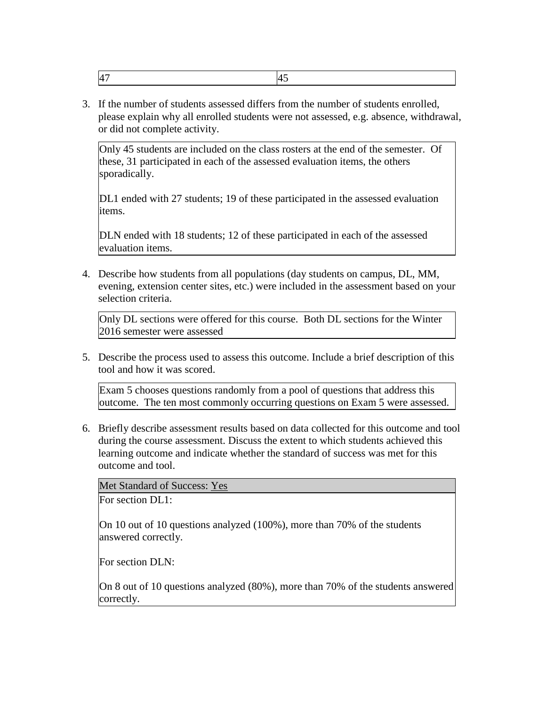|--|--|

3. If the number of students assessed differs from the number of students enrolled, please explain why all enrolled students were not assessed, e.g. absence, withdrawal, or did not complete activity.

Only 45 students are included on the class rosters at the end of the semester. Of these, 31 participated in each of the assessed evaluation items, the others sporadically.

DL1 ended with 27 students; 19 of these participated in the assessed evaluation items.

DLN ended with 18 students; 12 of these participated in each of the assessed evaluation items.

4. Describe how students from all populations (day students on campus, DL, MM, evening, extension center sites, etc.) were included in the assessment based on your selection criteria.

Only DL sections were offered for this course. Both DL sections for the Winter 2016 semester were assessed

5. Describe the process used to assess this outcome. Include a brief description of this tool and how it was scored.

Exam 5 chooses questions randomly from a pool of questions that address this outcome. The ten most commonly occurring questions on Exam 5 were assessed.

6. Briefly describe assessment results based on data collected for this outcome and tool during the course assessment. Discuss the extent to which students achieved this learning outcome and indicate whether the standard of success was met for this outcome and tool.

Met Standard of Success: Yes

For section DL1:

On 10 out of 10 questions analyzed (100%), more than 70% of the students answered correctly.

For section DLN:

On 8 out of 10 questions analyzed (80%), more than 70% of the students answered correctly.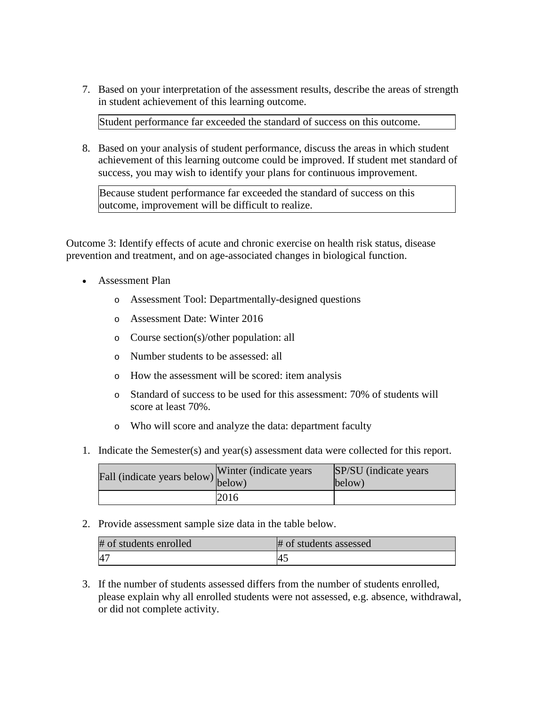7. Based on your interpretation of the assessment results, describe the areas of strength in student achievement of this learning outcome.

Student performance far exceeded the standard of success on this outcome.

8. Based on your analysis of student performance, discuss the areas in which student achievement of this learning outcome could be improved. If student met standard of success, you may wish to identify your plans for continuous improvement.

Because student performance far exceeded the standard of success on this outcome, improvement will be difficult to realize.

Outcome 3: Identify effects of acute and chronic exercise on health risk status, disease prevention and treatment, and on age-associated changes in biological function.

- Assessment Plan
	- o Assessment Tool: Departmentally-designed questions
	- o Assessment Date: Winter 2016
	- o Course section(s)/other population: all
	- o Number students to be assessed: all
	- o How the assessment will be scored: item analysis
	- o Standard of success to be used for this assessment: 70% of students will score at least 70%.
	- o Who will score and analyze the data: department faculty
- 1. Indicate the Semester(s) and year(s) assessment data were collected for this report.

| Fall (indicate years below) below) | Winter (indicate years | SP/SU (indicate years)<br>below) |
|------------------------------------|------------------------|----------------------------------|
|                                    | 2016                   |                                  |

2. Provide assessment sample size data in the table below.

| # of students enrolled | # of students assessed |
|------------------------|------------------------|
|                        | -4.                    |

3. If the number of students assessed differs from the number of students enrolled, please explain why all enrolled students were not assessed, e.g. absence, withdrawal, or did not complete activity.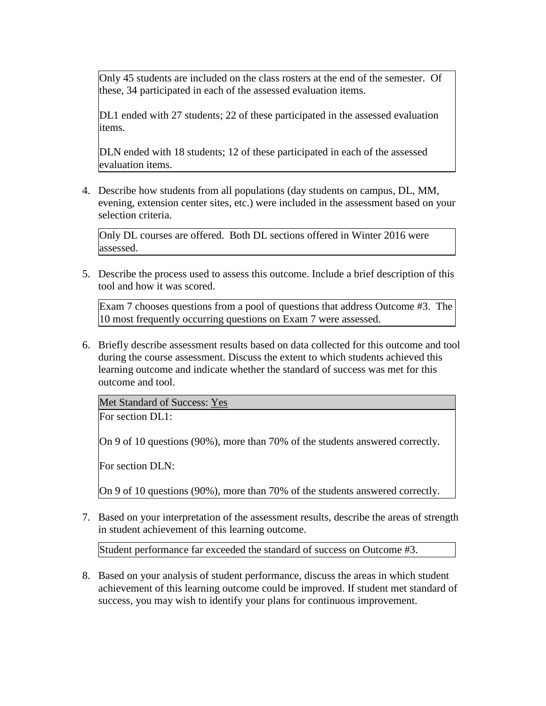Only 45 students are included on the class rosters at the end of the semester. Of these, 34 participated in each of the assessed evaluation items.

DL1 ended with 27 students; 22 of these participated in the assessed evaluation items.

DLN ended with 18 students; 12 of these participated in each of the assessed evaluation items.

4. Describe how students from all populations (day students on campus, DL, MM, evening, extension center sites, etc.) were included in the assessment based on your selection criteria.

Only DL courses are offered. Both DL sections offered in Winter 2016 were assessed.

5. Describe the process used to assess this outcome. Include a brief description of this tool and how it was scored.

Exam 7 chooses questions from a pool of questions that address Outcome #3. The 10 most frequently occurring questions on Exam 7 were assessed.

6. Briefly describe assessment results based on data collected for this outcome and tool during the course assessment. Discuss the extent to which students achieved this learning outcome and indicate whether the standard of success was met for this outcome and tool.

Met Standard of Success: Yes

For section DL1:

On 9 of 10 questions (90%), more than 70% of the students answered correctly.

For section DLN:

On 9 of 10 questions (90%), more than 70% of the students answered correctly.

7. Based on your interpretation of the assessment results, describe the areas of strength in student achievement of this learning outcome.

Student performance far exceeded the standard of success on Outcome #3.

8. Based on your analysis of student performance, discuss the areas in which student achievement of this learning outcome could be improved. If student met standard of success, you may wish to identify your plans for continuous improvement.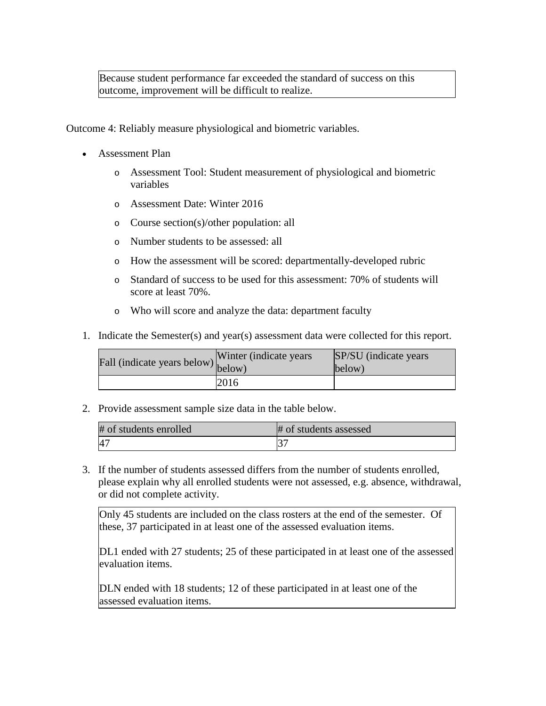Because student performance far exceeded the standard of success on this outcome, improvement will be difficult to realize.

Outcome 4: Reliably measure physiological and biometric variables.

- Assessment Plan
	- o Assessment Tool: Student measurement of physiological and biometric variables
	- o Assessment Date: Winter 2016
	- o Course section(s)/other population: all
	- o Number students to be assessed: all
	- o How the assessment will be scored: departmentally-developed rubric
	- o Standard of success to be used for this assessment: 70% of students will score at least 70%.
	- o Who will score and analyze the data: department faculty
- 1. Indicate the Semester(s) and year(s) assessment data were collected for this report.

| Fall (indicate years below) below) | Winter (indicate years) | SP/SU (indicate years)<br>below) |
|------------------------------------|-------------------------|----------------------------------|
|                                    | 2016                    |                                  |

2. Provide assessment sample size data in the table below.

| # of students enrolled | # of students assessed |
|------------------------|------------------------|
|                        |                        |

3. If the number of students assessed differs from the number of students enrolled, please explain why all enrolled students were not assessed, e.g. absence, withdrawal, or did not complete activity.

Only 45 students are included on the class rosters at the end of the semester. Of these, 37 participated in at least one of the assessed evaluation items.

DL1 ended with 27 students; 25 of these participated in at least one of the assessed evaluation items.

DLN ended with 18 students; 12 of these participated in at least one of the assessed evaluation items.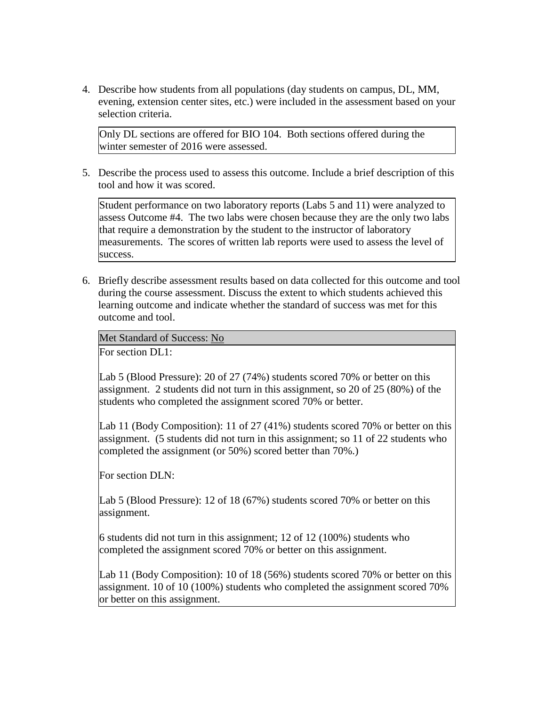4. Describe how students from all populations (day students on campus, DL, MM, evening, extension center sites, etc.) were included in the assessment based on your selection criteria.

Only DL sections are offered for BIO 104. Both sections offered during the winter semester of 2016 were assessed.

5. Describe the process used to assess this outcome. Include a brief description of this tool and how it was scored.

Student performance on two laboratory reports (Labs 5 and 11) were analyzed to assess Outcome #4. The two labs were chosen because they are the only two labs that require a demonstration by the student to the instructor of laboratory measurements. The scores of written lab reports were used to assess the level of success.

6. Briefly describe assessment results based on data collected for this outcome and tool during the course assessment. Discuss the extent to which students achieved this learning outcome and indicate whether the standard of success was met for this outcome and tool.

Met Standard of Success: No

For section DL1:

Lab 5 (Blood Pressure): 20 of 27 (74%) students scored 70% or better on this assignment. 2 students did not turn in this assignment, so 20 of 25 (80%) of the students who completed the assignment scored 70% or better.

Lab 11 (Body Composition): 11 of 27 (41%) students scored 70% or better on this assignment. (5 students did not turn in this assignment; so 11 of 22 students who completed the assignment (or 50%) scored better than 70%.)

For section DLN:

Lab 5 (Blood Pressure): 12 of 18 (67%) students scored 70% or better on this assignment.

6 students did not turn in this assignment; 12 of 12 (100%) students who completed the assignment scored 70% or better on this assignment.

Lab 11 (Body Composition): 10 of 18 (56%) students scored 70% or better on this assignment. 10 of 10 (100%) students who completed the assignment scored 70% or better on this assignment.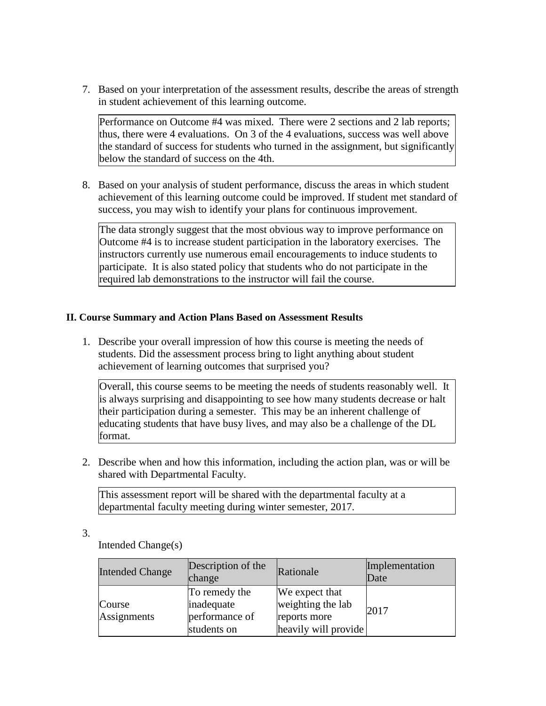7. Based on your interpretation of the assessment results, describe the areas of strength in student achievement of this learning outcome.

Performance on Outcome #4 was mixed. There were 2 sections and 2 lab reports; thus, there were 4 evaluations. On 3 of the 4 evaluations, success was well above the standard of success for students who turned in the assignment, but significantly below the standard of success on the 4th.

8. Based on your analysis of student performance, discuss the areas in which student achievement of this learning outcome could be improved. If student met standard of success, you may wish to identify your plans for continuous improvement.

The data strongly suggest that the most obvious way to improve performance on Outcome #4 is to increase student participation in the laboratory exercises. The instructors currently use numerous email encouragements to induce students to participate. It is also stated policy that students who do not participate in the required lab demonstrations to the instructor will fail the course.

## **II. Course Summary and Action Plans Based on Assessment Results**

1. Describe your overall impression of how this course is meeting the needs of students. Did the assessment process bring to light anything about student achievement of learning outcomes that surprised you?

Overall, this course seems to be meeting the needs of students reasonably well. It is always surprising and disappointing to see how many students decrease or halt their participation during a semester. This may be an inherent challenge of educating students that have busy lives, and may also be a challenge of the DL format.

2. Describe when and how this information, including the action plan, was or will be shared with Departmental Faculty.

This assessment report will be shared with the departmental faculty at a departmental faculty meeting during winter semester, 2017.

3.

Intended Change(s)

| <b>Intended Change</b> | Description of the<br>change                                 | Rationale                                                                   | Implementation<br>Date |
|------------------------|--------------------------------------------------------------|-----------------------------------------------------------------------------|------------------------|
| Course<br>Assignments  | To remedy the<br>inadequate<br>performance of<br>students on | We expect that<br>weighting the lab<br>reports more<br>heavily will provide | 2017                   |